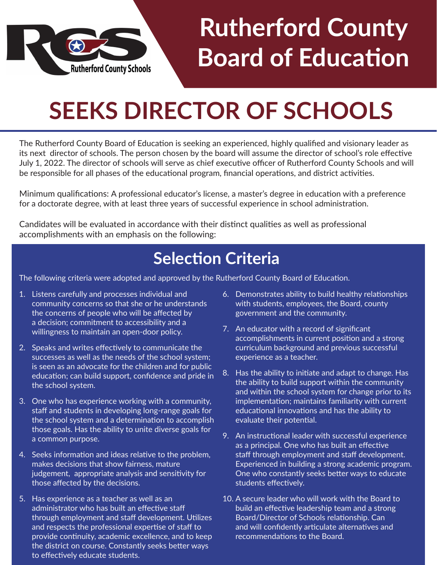

## **Rutherford County Board of Education**

## **SEEKS DIRECTOR OF SCHOOLS**

The Rutherford County Board of Education is seeking an experienced, highly qualified and visionary leader as its next director of schools. The person chosen by the board will assume the director of school's role effective July 1, 2022. The director of schools will serve as chief executive officer of Rutherford County Schools and will be responsible for all phases of the educational program, financial operations, and district activities.

Minimum qualifications: A professional educator's license, a master's degree in education with a preference for a doctorate degree, with at least three years of successful experience in school administration.

Candidates will be evaluated in accordance with their distinct qualities as well as professional accomplishments with an emphasis on the following:

### **Selection Criteria**

The following criteria were adopted and approved by the Rutherford County Board of Education.

- 1. Listens carefully and processes individual and community concerns so that she or he understands the concerns of people who will be affected by a decision; commitment to accessibility and a willingness to maintain an open-door policy.
- 2. Speaks and writes effectively to communicate the successes as well as the needs of the school system; is seen as an advocate for the children and for public education; can build support, confidence and pride in the school system.
- 3. One who has experience working with a community, staff and students in developing long-range goals for the school system and a determination to accomplish those goals. Has the ability to unite diverse goals for a common purpose.
- 4. Seeks information and ideas relative to the problem, makes decisions that show fairness, mature judgement, appropriate analysis and sensitivity for those affected by the decisions.
- 5. Has experience as a teacher as well as an administrator who has built an effective staff through employment and staff development. Utilizes and respects the professional expertise of staff to provide continuity, academic excellence, and to keep the district on course. Constantly seeks better ways to effectively educate students.
- 6. Demonstrates ability to build healthy relationships with students, employees, the Board, county government and the community.
- 7. An educator with a record of significant accomplishments in current position and a strong curriculum background and previous successful experience as a teacher.
- 8. Has the ability to initiate and adapt to change. Has the ability to build support within the community and within the school system for change prior to its implementation; maintains familiarity with current educational innovations and has the ability to evaluate their potential.
- 9. An instructional leader with successful experience as a principal. One who has built an effective staff through employment and staff development. Experienced in building a strong academic program. One who constantly seeks better ways to educate students effectively.
- 10. A secure leader who will work with the Board to build an effective leadership team and a strong Board/Director of Schools relationship. Can and will confidently articulate alternatives and recommendations to the Board.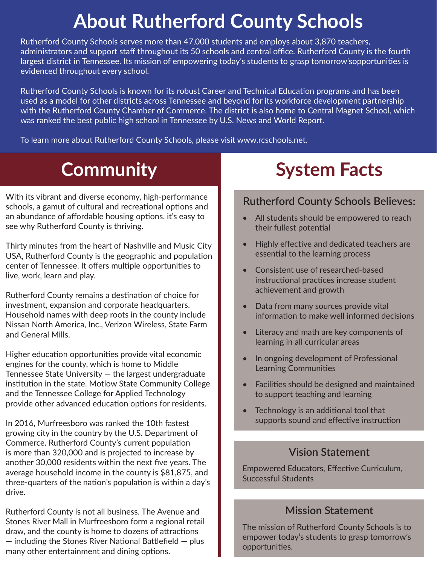## **About Rutherford County Schools**

Rutherford County Schools serves more than 47,000 students and employs about 3,870 teachers, administrators and support staff throughout its 50 schools and central office. Rutherford County is the fourth largest district in Tennessee. Its mission of empowering today's students to grasp tomorrow'sopportunities is evidenced throughout every school.

Rutherford County Schools is known for its robust Career and Technical Education programs and has been used as a model for other districts across Tennessee and beyond for its workforce development partnership with the Rutherford County Chamber of Commerce. The district is also home to Central Magnet School, which was ranked the best public high school in Tennessee by U.S. News and World Report.

To learn more about Rutherford County Schools, please visit www.rcschools.net.

### **Community**

With its vibrant and diverse economy, high-performance schools, a gamut of cultural and recreational options and an abundance of affordable housing options, it's easy to see why Rutherford County is thriving.

Thirty minutes from the heart of Nashville and Music City USA, Rutherford County is the geographic and population center of Tennessee. It offers multiple opportunities to live, work, learn and play.

Rutherford County remains a destination of choice for investment, expansion and corporate headquarters. Household names with deep roots in the county include Nissan North America, Inc., Verizon Wireless, State Farm and General Mills.

Higher education opportunities provide vital economic engines for the county, which is home to Middle Tennessee State University — the largest undergraduate institution in the state. Motlow State Community College and the Tennessee College for Applied Technology provide other advanced education options for residents.

In 2016, Murfreesboro was ranked the 10th fastest growing city in the country by the U.S. Department of Commerce. Rutherford County's current population is more than 320,000 and is projected to increase by another 30,000 residents within the next five years. The average household income in the county is \$81,875, and three-quarters of the nation's population is within a day's drive.

Rutherford County is not all business. The Avenue and Stones River Mall in Murfreesboro form a regional retail draw, and the county is home to dozens of attractions — including the Stones River National Battlefield — plus many other entertainment and dining options.

### **System Facts**

#### **Rutherford County Schools Believes:**

- All students should be empowered to reach their fullest potential
- Highly effective and dedicated teachers are essential to the learning process
- Consistent use of researched-based instructional practices increase student achievement and growth
- Data from many sources provide vital information to make well informed decisions
- Literacy and math are key components of learning in all curricular areas
- In ongoing development of Professional Learning Communities
- Facilities should be designed and maintained to support teaching and learning
- Technology is an additional tool that supports sound and effective instruction

#### **Vision Statement**

Empowered Educators, Effective Curriculum, Successful Students

#### **Mission Statement**

The mission of Rutherford County Schools is to empower today's students to grasp tomorrow's opportunities.